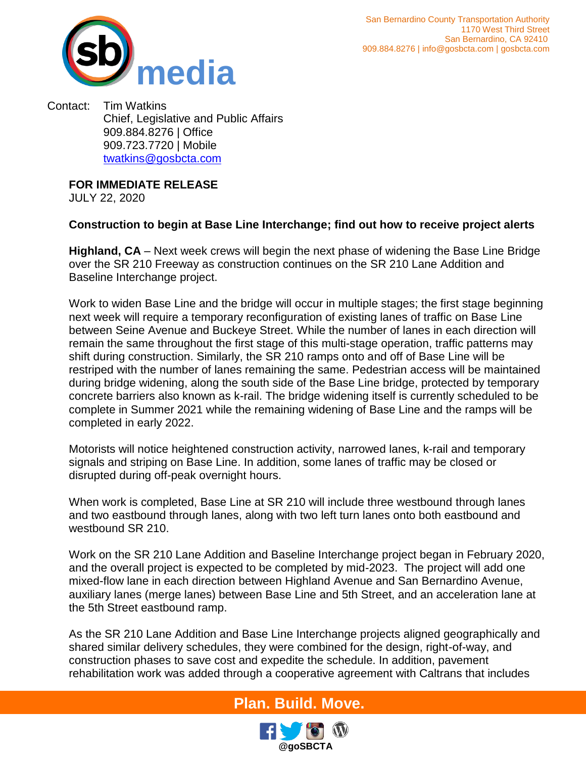

Contact: Tim Watkins Chief, Legislative and Public Affairs 909.884.8276 | Office 909.723.7720 | Mobile [twatkins@gosbcta.com](mailto:twatkins@gosbcta.com)

**FOR IMMEDIATE RELEASE**

JULY 22, 2020

## **Construction to begin at Base Line Interchange; find out how to receive project alerts**

**Highland, CA** – Next week crews will begin the next phase of widening the Base Line Bridge over the SR 210 Freeway as construction continues on the SR 210 Lane Addition and Baseline Interchange project.

Work to widen Base Line and the bridge will occur in multiple stages; the first stage beginning next week will require a temporary reconfiguration of existing lanes of traffic on Base Line between Seine Avenue and Buckeye Street. While the number of lanes in each direction will remain the same throughout the first stage of this multi-stage operation, traffic patterns may shift during construction. Similarly, the SR 210 ramps onto and off of Base Line will be restriped with the number of lanes remaining the same. Pedestrian access will be maintained during bridge widening, along the south side of the Base Line bridge, protected by temporary concrete barriers also known as k-rail. The bridge widening itself is currently scheduled to be complete in Summer 2021 while the remaining widening of Base Line and the ramps will be completed in early 2022.

Motorists will notice heightened construction activity, narrowed lanes, k-rail and temporary signals and striping on Base Line. In addition, some lanes of traffic may be closed or disrupted during off-peak overnight hours.

When work is completed, Base Line at SR 210 will include three westbound through lanes and two eastbound through lanes, along with two left turn lanes onto both eastbound and westbound SR 210.

Work on the SR 210 Lane Addition and Baseline Interchange project began in February 2020, and the overall project is expected to be completed by mid-2023. The project will add one mixed-flow lane in each direction between Highland Avenue and San Bernardino Avenue, auxiliary lanes (merge lanes) between Base Line and 5th Street, and an acceleration lane at the 5th Street eastbound ramp.

As the SR 210 Lane Addition and Base Line Interchange projects aligned geographically and shared similar delivery schedules, they were combined for the design, right-of-way, and construction phases to save cost and expedite the schedule. In addition, pavement rehabilitation work was added through a cooperative agreement with Caltrans that includes

## **Plan. Build. Move.**